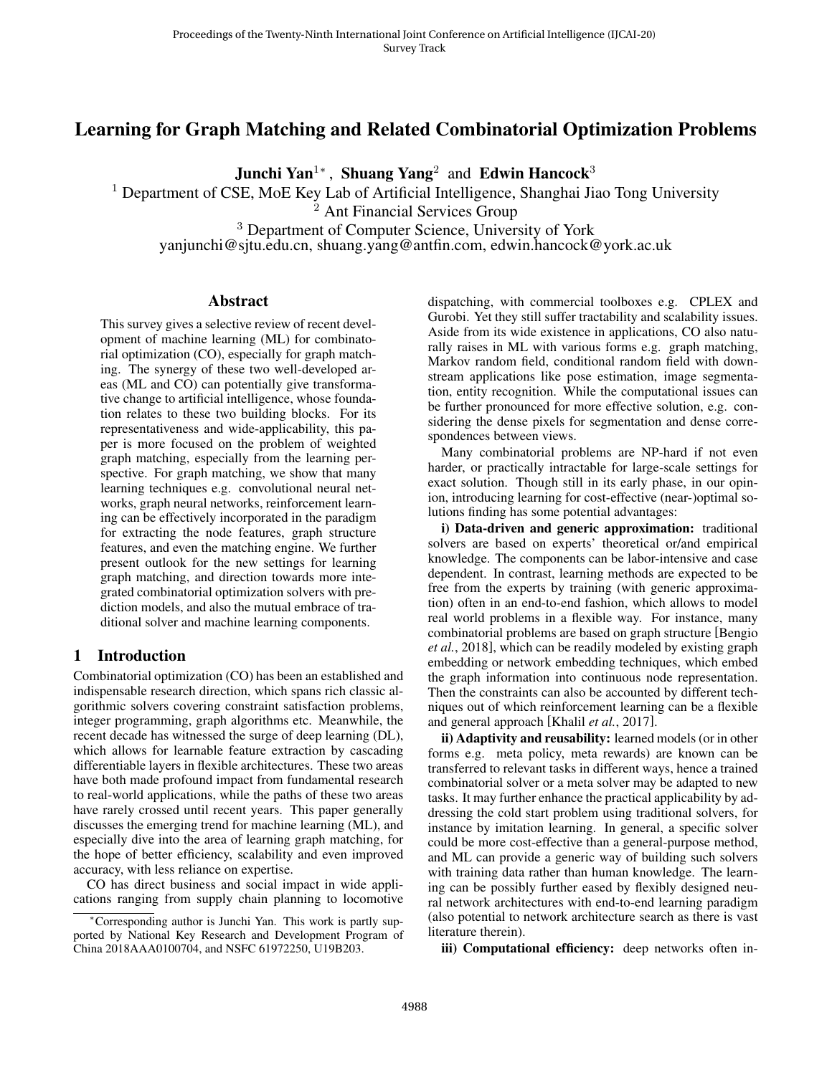# Learning for Graph Matching and Related Combinatorial Optimization Problems

Junchi Yan<sup>1</sup>\*, Shuang Yang<sup>2</sup> and Edwin Hancock<sup>3</sup>

<sup>1</sup> Department of CSE, MoE Key Lab of Artificial Intelligence, Shanghai Jiao Tong University

<sup>2</sup> Ant Financial Services Group

<sup>3</sup> Department of Computer Science, University of York

yanjunchi@sjtu.edu.cn, shuang.yang@antfin.com, edwin.hancock@york.ac.uk

## Abstract

This survey gives a selective review of recent development of machine learning (ML) for combinatorial optimization (CO), especially for graph matching. The synergy of these two well-developed areas (ML and CO) can potentially give transformative change to artificial intelligence, whose foundation relates to these two building blocks. For its representativeness and wide-applicability, this paper is more focused on the problem of weighted graph matching, especially from the learning perspective. For graph matching, we show that many learning techniques e.g. convolutional neural networks, graph neural networks, reinforcement learning can be effectively incorporated in the paradigm for extracting the node features, graph structure features, and even the matching engine. We further present outlook for the new settings for learning graph matching, and direction towards more integrated combinatorial optimization solvers with prediction models, and also the mutual embrace of traditional solver and machine learning components.

## 1 Introduction

Combinatorial optimization (CO) has been an established and indispensable research direction, which spans rich classic algorithmic solvers covering constraint satisfaction problems, integer programming, graph algorithms etc. Meanwhile, the recent decade has witnessed the surge of deep learning (DL), which allows for learnable feature extraction by cascading differentiable layers in flexible architectures. These two areas have both made profound impact from fundamental research to real-world applications, while the paths of these two areas have rarely crossed until recent years. This paper generally discusses the emerging trend for machine learning (ML), and especially dive into the area of learning graph matching, for the hope of better efficiency, scalability and even improved accuracy, with less reliance on expertise.

CO has direct business and social impact in wide applications ranging from supply chain planning to locomotive dispatching, with commercial toolboxes e.g. CPLEX and Gurobi. Yet they still suffer tractability and scalability issues. Aside from its wide existence in applications, CO also naturally raises in ML with various forms e.g. graph matching, Markov random field, conditional random field with downstream applications like pose estimation, image segmentation, entity recognition. While the computational issues can be further pronounced for more effective solution, e.g. considering the dense pixels for segmentation and dense correspondences between views.

Many combinatorial problems are NP-hard if not even harder, or practically intractable for large-scale settings for exact solution. Though still in its early phase, in our opinion, introducing learning for cost-effective (near-)optimal solutions finding has some potential advantages:

i) Data-driven and generic approximation: traditional solvers are based on experts' theoretical or/and empirical knowledge. The components can be labor-intensive and case dependent. In contrast, learning methods are expected to be free from the experts by training (with generic approximation) often in an end-to-end fashion, which allows to model real world problems in a flexible way. For instance, many combinatorial problems are based on graph structure [Bengio *et al.*, 2018], which can be readily modeled by existing graph embedding or network embedding techniques, which embed the graph information into continuous node representation. Then the constraints can also be accounted by different techniques out of which reinforcement learning can be a flexible and general approach [Khalil *et al.*, 2017].

ii) Adaptivity and reusability: learned models (or in other forms e.g. meta policy, meta rewards) are known can be transferred to relevant tasks in different ways, hence a trained combinatorial solver or a meta solver may be adapted to new tasks. It may further enhance the practical applicability by addressing the cold start problem using traditional solvers, for instance by imitation learning. In general, a specific solver could be more cost-effective than a general-purpose method, and ML can provide a generic way of building such solvers with training data rather than human knowledge. The learning can be possibly further eased by flexibly designed neural network architectures with end-to-end learning paradigm (also potential to network architecture search as there is vast literature therein).

iii) Computational efficiency: deep networks often in-

<sup>∗</sup>Corresponding author is Junchi Yan. This work is partly supported by National Key Research and Development Program of China 2018AAA0100704, and NSFC 61972250, U19B203.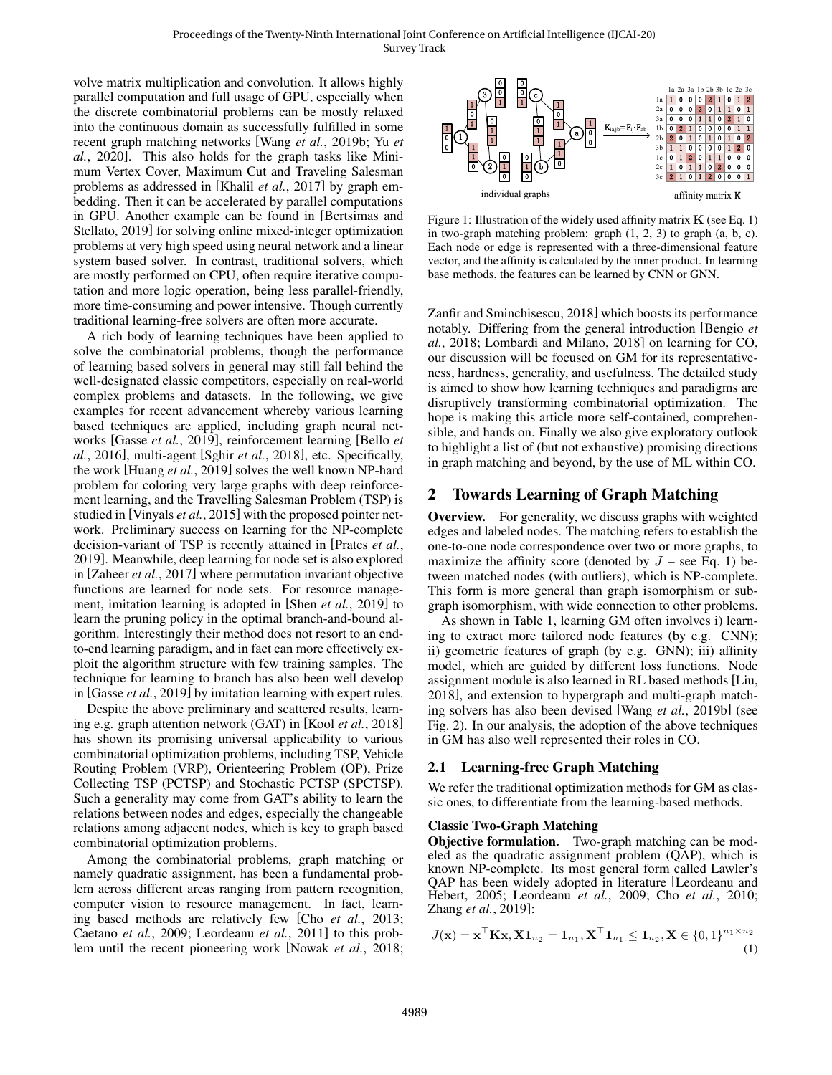volve matrix multiplication and convolution. It allows highly parallel computation and full usage of GPU, especially when the discrete combinatorial problems can be mostly relaxed into the continuous domain as successfully fulfilled in some recent graph matching networks [Wang *et al.*, 2019b; Yu *et al.*, 2020]. This also holds for the graph tasks like Minimum Vertex Cover, Maximum Cut and Traveling Salesman problems as addressed in [Khalil *et al.*, 2017] by graph embedding. Then it can be accelerated by parallel computations in GPU. Another example can be found in [Bertsimas and Stellato, 2019] for solving online mixed-integer optimization problems at very high speed using neural network and a linear system based solver. In contrast, traditional solvers, which are mostly performed on CPU, often require iterative computation and more logic operation, being less parallel-friendly, more time-consuming and power intensive. Though currently traditional learning-free solvers are often more accurate.

A rich body of learning techniques have been applied to solve the combinatorial problems, though the performance of learning based solvers in general may still fall behind the well-designated classic competitors, especially on real-world complex problems and datasets. In the following, we give examples for recent advancement whereby various learning based techniques are applied, including graph neural networks [Gasse *et al.*, 2019], reinforcement learning [Bello *et al.*, 2016], multi-agent [Sghir *et al.*, 2018], etc. Specifically, the work [Huang *et al.*, 2019] solves the well known NP-hard problem for coloring very large graphs with deep reinforcement learning, and the Travelling Salesman Problem (TSP) is studied in [Vinyals *et al.*, 2015] with the proposed pointer network. Preliminary success on learning for the NP-complete decision-variant of TSP is recently attained in [Prates *et al.*, 2019]. Meanwhile, deep learning for node set is also explored in [Zaheer *et al.*, 2017] where permutation invariant objective functions are learned for node sets. For resource management, imitation learning is adopted in [Shen *et al.*, 2019] to learn the pruning policy in the optimal branch-and-bound algorithm. Interestingly their method does not resort to an endto-end learning paradigm, and in fact can more effectively exploit the algorithm structure with few training samples. The technique for learning to branch has also been well develop in [Gasse *et al.*, 2019] by imitation learning with expert rules.

Despite the above preliminary and scattered results, learning e.g. graph attention network (GAT) in [Kool *et al.*, 2018] has shown its promising universal applicability to various combinatorial optimization problems, including TSP, Vehicle Routing Problem (VRP), Orienteering Problem (OP), Prize Collecting TSP (PCTSP) and Stochastic PCTSP (SPCTSP). Such a generality may come from GAT's ability to learn the relations between nodes and edges, especially the changeable relations among adjacent nodes, which is key to graph based combinatorial optimization problems.

Among the combinatorial problems, graph matching or namely quadratic assignment, has been a fundamental problem across different areas ranging from pattern recognition, computer vision to resource management. In fact, learning based methods are relatively few [Cho *et al.*, 2013; Caetano *et al.*, 2009; Leordeanu *et al.*, 2011] to this problem until the recent pioneering work [Nowak *et al.*, 2018;



Figure 1: Illustration of the widely used affinity matrix  $\bf{K}$  (see Eq. 1) in two-graph matching problem: graph  $(1, 2, 3)$  to graph  $(a, b, c)$ . Each node or edge is represented with a three-dimensional feature vector, and the affinity is calculated by the inner product. In learning base methods, the features can be learned by CNN or GNN.

Zanfir and Sminchisescu, 2018] which boosts its performance notably. Differing from the general introduction [Bengio *et al.*, 2018; Lombardi and Milano, 2018] on learning for CO, our discussion will be focused on GM for its representativeness, hardness, generality, and usefulness. The detailed study is aimed to show how learning techniques and paradigms are disruptively transforming combinatorial optimization. The hope is making this article more self-contained, comprehensible, and hands on. Finally we also give exploratory outlook to highlight a list of (but not exhaustive) promising directions in graph matching and beyond, by the use of ML within CO.

## 2 Towards Learning of Graph Matching

Overview. For generality, we discuss graphs with weighted edges and labeled nodes. The matching refers to establish the one-to-one node correspondence over two or more graphs, to maximize the affinity score (denoted by  $J$  – see Eq. 1) between matched nodes (with outliers), which is NP-complete. This form is more general than graph isomorphism or subgraph isomorphism, with wide connection to other problems.

As shown in Table 1, learning GM often involves i) learning to extract more tailored node features (by e.g. CNN); ii) geometric features of graph (by e.g. GNN); iii) affinity model, which are guided by different loss functions. Node assignment module is also learned in RL based methods [Liu, 2018], and extension to hypergraph and multi-graph matching solvers has also been devised [Wang *et al.*, 2019b] (see Fig. 2). In our analysis, the adoption of the above techniques in GM has also well represented their roles in CO.

## 2.1 Learning-free Graph Matching

We refer the traditional optimization methods for GM as classic ones, to differentiate from the learning-based methods.

## Classic Two-Graph Matching

Objective formulation. Two-graph matching can be modeled as the quadratic assignment problem (QAP), which is known NP-complete. Its most general form called Lawler's QAP has been widely adopted in literature [Leordeanu and Hebert, 2005; Leordeanu *et al.*, 2009; Cho *et al.*, 2010; Zhang *et al.*, 2019]:

$$
J(\mathbf{x}) = \mathbf{x}^\top \mathbf{K} \mathbf{x}, \mathbf{X} \mathbf{1}_{n_2} = \mathbf{1}_{n_1}, \mathbf{X}^\top \mathbf{1}_{n_1} \le \mathbf{1}_{n_2}, \mathbf{X} \in \{0, 1\}^{n_1 \times n_2}
$$
(1)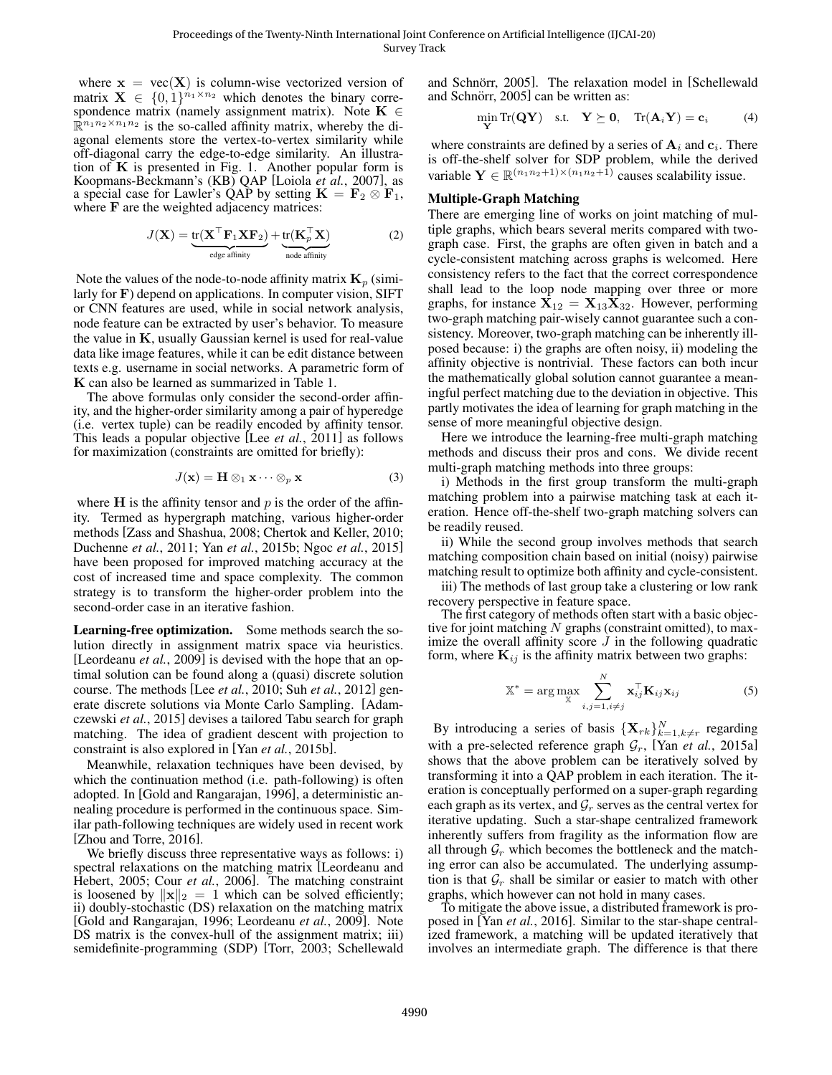where  $x = vec(X)$  is column-wise vectorized version of matrix  $\mathbf{X} \in \{0,1\}^{n_1 \times n_2}$  which denotes the binary correspondence matrix (namely assignment matrix). Note  $K \in$  $\mathbb{R}^{n_1 n_2 \times n_1 n_2}$  is the so-called affinity matrix, whereby the diagonal elements store the vertex-to-vertex similarity while off-diagonal carry the edge-to-edge similarity. An illustration of  $\bf{K}$  is presented in Fig. 1. Another popular form is Koopmans-Beckmann's (KB) QAP [Loiola *et al.*, 2007], as a special case for Lawler's QAP by setting  $K = F_2 \otimes F_1$ , where F are the weighted adjacency matrices:

$$
J(\mathbf{X}) = \underbrace{\text{tr}(\mathbf{X}^\top \mathbf{F}_1 \mathbf{X} \mathbf{F}_2)}_{\text{edge affinity}} + \underbrace{\text{tr}(\mathbf{K}_p^\top \mathbf{X})}_{\text{node affinity}}
$$
(2)

Note the values of the node-to-node affinity matrix  $\mathbf{K}_p$  (similarly for F) depend on applications. In computer vision, SIFT or CNN features are used, while in social network analysis, node feature can be extracted by user's behavior. To measure the value in K, usually Gaussian kernel is used for real-value data like image features, while it can be edit distance between texts e.g. username in social networks. A parametric form of K can also be learned as summarized in Table 1.

The above formulas only consider the second-order affinity, and the higher-order similarity among a pair of hyperedge (i.e. vertex tuple) can be readily encoded by affinity tensor. This leads a popular objective [Lee *et al.*, 2011] as follows for maximization (constraints are omitted for briefly):

$$
J(\mathbf{x}) = \mathbf{H} \otimes_1 \mathbf{x} \cdots \otimes_p \mathbf{x}
$$
 (3)

where  $H$  is the affinity tensor and  $p$  is the order of the affinity. Termed as hypergraph matching, various higher-order methods [Zass and Shashua, 2008; Chertok and Keller, 2010; Duchenne *et al.*, 2011; Yan *et al.*, 2015b; Ngoc *et al.*, 2015] have been proposed for improved matching accuracy at the cost of increased time and space complexity. The common strategy is to transform the higher-order problem into the second-order case in an iterative fashion.

Learning-free optimization. Some methods search the solution directly in assignment matrix space via heuristics. [Leordeanu *et al.*, 2009] is devised with the hope that an optimal solution can be found along a (quasi) discrete solution course. The methods [Lee *et al.*, 2010; Suh *et al.*, 2012] generate discrete solutions via Monte Carlo Sampling. [Adamczewski *et al.*, 2015] devises a tailored Tabu search for graph matching. The idea of gradient descent with projection to constraint is also explored in [Yan *et al.*, 2015b].

Meanwhile, relaxation techniques have been devised, by which the continuation method (i.e. path-following) is often adopted. In [Gold and Rangarajan, 1996], a deterministic annealing procedure is performed in the continuous space. Similar path-following techniques are widely used in recent work [Zhou and Torre, 2016].

We briefly discuss three representative ways as follows: i) spectral relaxations on the matching matrix [Leordeanu and Hebert, 2005; Cour *et al.*, 2006]. The matching constraint is loosened by  $\|\mathbf{x}\|_2 = 1$  which can be solved efficiently; ii) doubly-stochastic (DS) relaxation on the matching matrix [Gold and Rangarajan, 1996; Leordeanu *et al.*, 2009]. Note DS matrix is the convex-hull of the assignment matrix; iii) semidefinite-programming (SDP) [Torr, 2003; Schellewald and Schnörr, 2005]. The relaxation model in [Schellewald] and Schnörr, 2005] can be written as:

$$
\min_{\mathbf{Y}} \text{Tr}(\mathbf{Q}\mathbf{Y}) \quad \text{s.t.} \quad \mathbf{Y} \succeq \mathbf{0}, \quad \text{Tr}(\mathbf{A}_i \mathbf{Y}) = \mathbf{c}_i \tag{4}
$$

where constraints are defined by a series of  $A_i$  and  $c_i$ . There is off-the-shelf solver for SDP problem, while the derived variable  $\mathbf{Y} \in \mathbb{R}^{(n_1 n_2 + 1) \times (n_1 n_2 + 1)}$  causes scalability issue.

## Multiple-Graph Matching

There are emerging line of works on joint matching of multiple graphs, which bears several merits compared with twograph case. First, the graphs are often given in batch and a cycle-consistent matching across graphs is welcomed. Here consistency refers to the fact that the correct correspondence shall lead to the loop node mapping over three or more graphs, for instance  $X_{12} = X_{13}X_{32}$ . However, performing two-graph matching pair-wisely cannot guarantee such a consistency. Moreover, two-graph matching can be inherently illposed because: i) the graphs are often noisy, ii) modeling the affinity objective is nontrivial. These factors can both incur the mathematically global solution cannot guarantee a meaningful perfect matching due to the deviation in objective. This partly motivates the idea of learning for graph matching in the sense of more meaningful objective design.

Here we introduce the learning-free multi-graph matching methods and discuss their pros and cons. We divide recent multi-graph matching methods into three groups:

i) Methods in the first group transform the multi-graph matching problem into a pairwise matching task at each iteration. Hence off-the-shelf two-graph matching solvers can be readily reused.

ii) While the second group involves methods that search matching composition chain based on initial (noisy) pairwise matching result to optimize both affinity and cycle-consistent.

iii) The methods of last group take a clustering or low rank recovery perspective in feature space.

The first category of methods often start with a basic objective for joint matching  $N$  graphs (constraint omitted), to maximize the overall affinity score  $J$  in the following quadratic form, where  $\mathbf{K}_{ij}$  is the affinity matrix between two graphs:

$$
\mathbb{X}^* = \arg \max_{\mathbb{X}} \sum_{i,j=1, i \neq j}^{N} \mathbf{x}_{ij}^{\top} \mathbf{K}_{ij} \mathbf{x}_{ij}
$$
(5)

By introducing a series of basis  $\{X_{rk}\}_{k=1,k\neq r}^N$  regarding with a pre-selected reference graph  $G_r$ , [Yan *et al.*, 2015a] shows that the above problem can be iteratively solved by transforming it into a QAP problem in each iteration. The iteration is conceptually performed on a super-graph regarding each graph as its vertex, and  $\mathcal{G}_r$  serves as the central vertex for iterative updating. Such a star-shape centralized framework inherently suffers from fragility as the information flow are all through  $\mathcal{G}_r$  which becomes the bottleneck and the matching error can also be accumulated. The underlying assumption is that  $\mathcal{G}_r$  shall be similar or easier to match with other graphs, which however can not hold in many cases.

To mitigate the above issue, a distributed framework is proposed in [Yan *et al.*, 2016]. Similar to the star-shape centralized framework, a matching will be updated iteratively that involves an intermediate graph. The difference is that there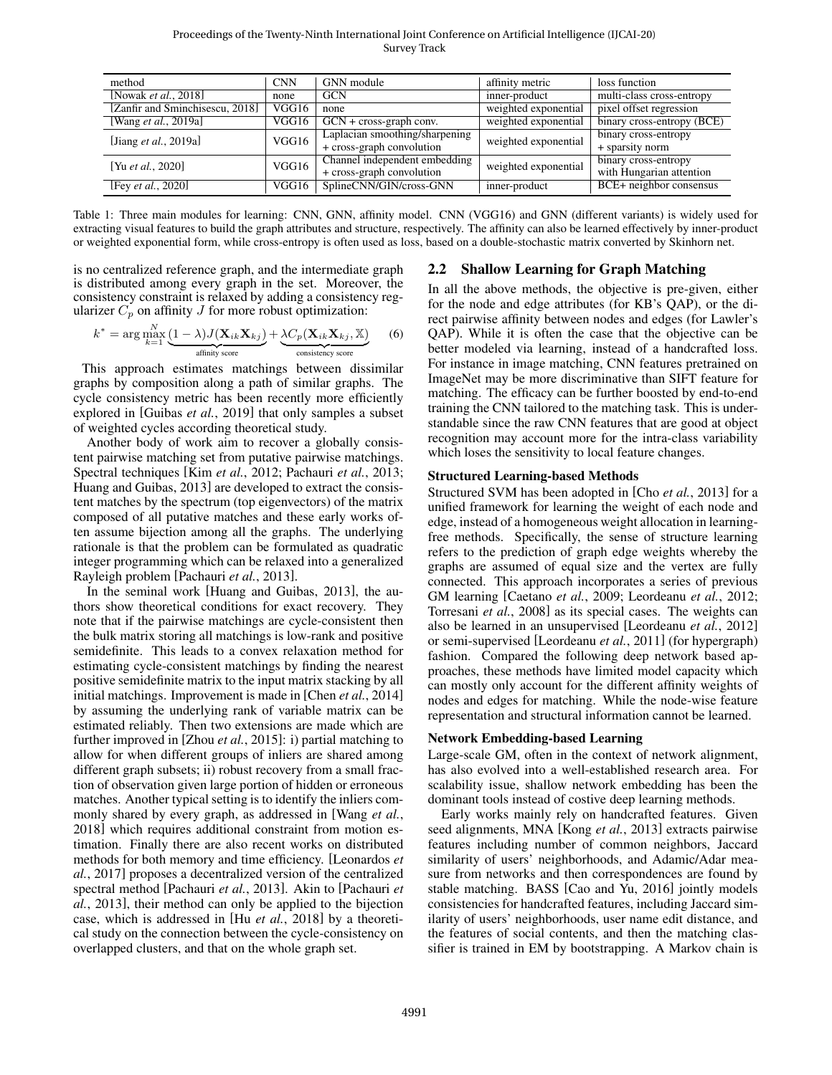Proceedings of the Twenty-Ninth International Joint Conference on Artificial Intelligence (IJCAI-20) Survey Track

| method                          | <b>CNN</b> | GNN module                     | affinity metric      | loss function              |
|---------------------------------|------------|--------------------------------|----------------------|----------------------------|
| [Nowak <i>et al.</i> , $2018$ ] | none       | <b>GCN</b>                     | inner-product        | multi-class cross-entropy  |
| [Zanfir and Sminchisescu, 2018] | VGG16      | none                           | weighted exponential | pixel offset regression    |
| [Wang <i>et al.</i> , 2019a]    | VGG16      | $GCN + cross-graph conv.$      | weighted exponential | binary cross-entropy (BCE) |
| [Jiang <i>et al.</i> , 2019a]   | VGG16      | Laplacian smoothing/sharpening | weighted exponential | binary cross-entropy       |
|                                 |            | + cross-graph convolution      |                      | + sparsity norm            |
| [Yu et al., 2020]               | VGG16      | Channel independent embedding  | weighted exponential | binary cross-entropy       |
|                                 |            | + cross-graph convolution      |                      | with Hungarian attention   |
| [Fey <i>et al.</i> , 2020]      | VGG16      | SplineCNN/GIN/cross-GNN        | inner-product        | BCE+ neighbor consensus    |

Table 1: Three main modules for learning: CNN, GNN, affinity model. CNN (VGG16) and GNN (different variants) is widely used for extracting visual features to build the graph attributes and structure, respectively. The affinity can also be learned effectively by inner-product or weighted exponential form, while cross-entropy is often used as loss, based on a double-stochastic matrix converted by Skinhorn net.

is no centralized reference graph, and the intermediate graph is distributed among every graph in the set. Moreover, the consistency constraint is relaxed by adding a consistency regularizer  $C_p$  on affinity J for more robust optimization:

$$
k^* = \arg\max_{k=1}^N \underbrace{(1-\lambda)J(\mathbf{X}_{ik}\mathbf{X}_{kj})}_{\text{affinity score}} + \underbrace{\lambda C_p(\mathbf{X}_{ik}\mathbf{X}_{kj}, \mathbb{X})}_{\text{consistency score}} \tag{6}
$$

This approach estimates matchings between dissimilar graphs by composition along a path of similar graphs. The cycle consistency metric has been recently more efficiently explored in [Guibas *et al.*, 2019] that only samples a subset of weighted cycles according theoretical study.

Another body of work aim to recover a globally consistent pairwise matching set from putative pairwise matchings. Spectral techniques [Kim *et al.*, 2012; Pachauri *et al.*, 2013; Huang and Guibas, 2013] are developed to extract the consistent matches by the spectrum (top eigenvectors) of the matrix composed of all putative matches and these early works often assume bijection among all the graphs. The underlying rationale is that the problem can be formulated as quadratic integer programming which can be relaxed into a generalized Rayleigh problem [Pachauri *et al.*, 2013].

In the seminal work [Huang and Guibas, 2013], the authors show theoretical conditions for exact recovery. They note that if the pairwise matchings are cycle-consistent then the bulk matrix storing all matchings is low-rank and positive semidefinite. This leads to a convex relaxation method for estimating cycle-consistent matchings by finding the nearest positive semidefinite matrix to the input matrix stacking by all initial matchings. Improvement is made in [Chen *et al.*, 2014] by assuming the underlying rank of variable matrix can be estimated reliably. Then two extensions are made which are further improved in [Zhou *et al.*, 2015]: i) partial matching to allow for when different groups of inliers are shared among different graph subsets; ii) robust recovery from a small fraction of observation given large portion of hidden or erroneous matches. Another typical setting is to identify the inliers commonly shared by every graph, as addressed in [Wang *et al.*, 2018] which requires additional constraint from motion estimation. Finally there are also recent works on distributed methods for both memory and time efficiency. [Leonardos *et al.*, 2017] proposes a decentralized version of the centralized spectral method [Pachauri *et al.*, 2013]. Akin to [Pachauri *et al.*, 2013], their method can only be applied to the bijection case, which is addressed in [Hu *et al.*, 2018] by a theoretical study on the connection between the cycle-consistency on overlapped clusters, and that on the whole graph set.

## 2.2 Shallow Learning for Graph Matching

In all the above methods, the objective is pre-given, either for the node and edge attributes (for KB's QAP), or the direct pairwise affinity between nodes and edges (for Lawler's QAP). While it is often the case that the objective can be better modeled via learning, instead of a handcrafted loss. For instance in image matching, CNN features pretrained on ImageNet may be more discriminative than SIFT feature for matching. The efficacy can be further boosted by end-to-end training the CNN tailored to the matching task. This is understandable since the raw CNN features that are good at object recognition may account more for the intra-class variability which loses the sensitivity to local feature changes.

## Structured Learning-based Methods

Structured SVM has been adopted in [Cho *et al.*, 2013] for a unified framework for learning the weight of each node and edge, instead of a homogeneous weight allocation in learningfree methods. Specifically, the sense of structure learning refers to the prediction of graph edge weights whereby the graphs are assumed of equal size and the vertex are fully connected. This approach incorporates a series of previous GM learning [Caetano *et al.*, 2009; Leordeanu *et al.*, 2012; Torresani *et al.*, 2008] as its special cases. The weights can also be learned in an unsupervised [Leordeanu *et al.*, 2012] or semi-supervised [Leordeanu *et al.*, 2011] (for hypergraph) fashion. Compared the following deep network based approaches, these methods have limited model capacity which can mostly only account for the different affinity weights of nodes and edges for matching. While the node-wise feature representation and structural information cannot be learned.

## Network Embedding-based Learning

Large-scale GM, often in the context of network alignment, has also evolved into a well-established research area. For scalability issue, shallow network embedding has been the dominant tools instead of costive deep learning methods.

Early works mainly rely on handcrafted features. Given seed alignments, MNA [Kong *et al.*, 2013] extracts pairwise features including number of common neighbors, Jaccard similarity of users' neighborhoods, and Adamic/Adar measure from networks and then correspondences are found by stable matching. BASS [Cao and Yu, 2016] jointly models consistencies for handcrafted features, including Jaccard similarity of users' neighborhoods, user name edit distance, and the features of social contents, and then the matching classifier is trained in EM by bootstrapping. A Markov chain is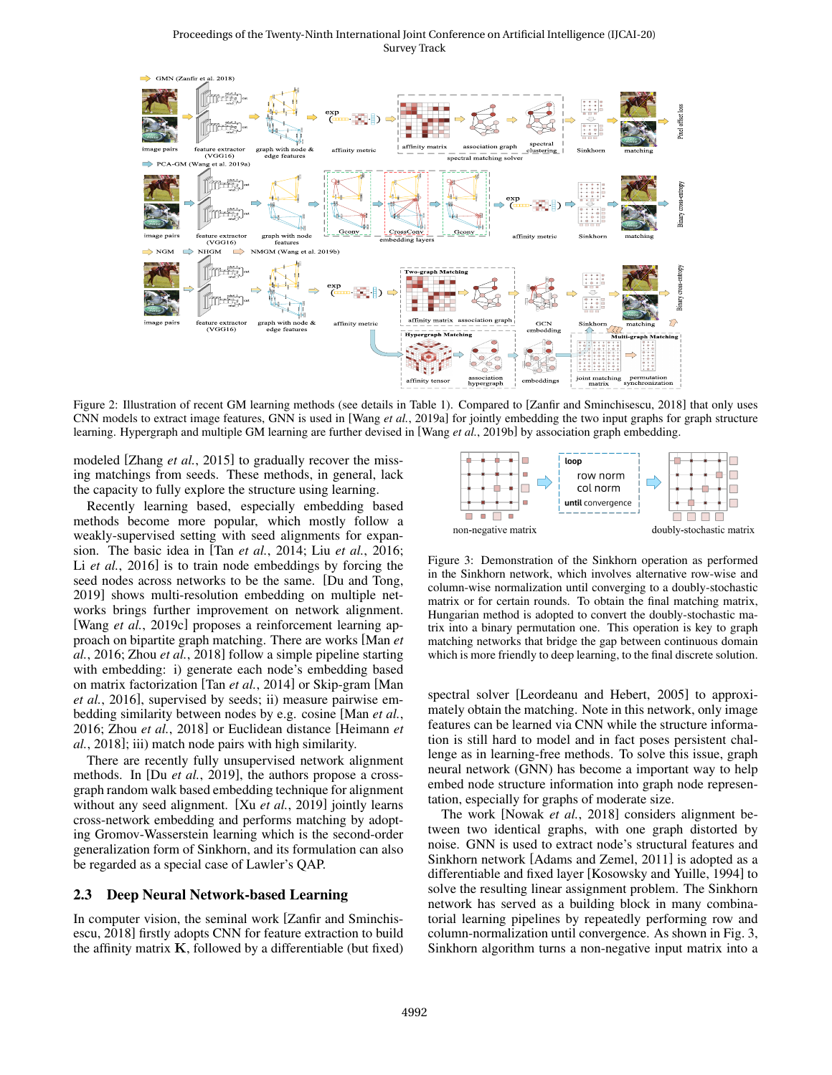#### Proceedings of the Twenty-Ninth International Joint Conference on Artificial Intelligence (IJCAI-20) Survey Track



Figure 2: Illustration of recent GM learning methods (see details in Table 1). Compared to [Zanfir and Sminchisescu, 2018] that only uses CNN models to extract image features, GNN is used in [Wang *et al.*, 2019a] for jointly embedding the two input graphs for graph structure learning. Hypergraph and multiple GM learning are further devised in [Wang *et al.*, 2019b] by association graph embedding.

modeled [Zhang *et al.*, 2015] to gradually recover the missing matchings from seeds. These methods, in general, lack the capacity to fully explore the structure using learning.

Recently learning based, especially embedding based methods become more popular, which mostly follow a weakly-supervised setting with seed alignments for expansion. The basic idea in [Tan *et al.*, 2014; Liu *et al.*, 2016; Li *et al.*, 2016] is to train node embeddings by forcing the seed nodes across networks to be the same. [Du and Tong, 2019] shows multi-resolution embedding on multiple networks brings further improvement on network alignment. [Wang *et al.*, 2019c] proposes a reinforcement learning approach on bipartite graph matching. There are works [Man *et al.*, 2016; Zhou *et al.*, 2018] follow a simple pipeline starting with embedding: i) generate each node's embedding based on matrix factorization [Tan *et al.*, 2014] or Skip-gram [Man *et al.*, 2016], supervised by seeds; ii) measure pairwise embedding similarity between nodes by e.g. cosine [Man *et al.*, 2016; Zhou *et al.*, 2018] or Euclidean distance [Heimann *et al.*, 2018]; iii) match node pairs with high similarity.

There are recently fully unsupervised network alignment methods. In [Du *et al.*, 2019], the authors propose a crossgraph random walk based embedding technique for alignment without any seed alignment. [Xu *et al.*, 2019] jointly learns cross-network embedding and performs matching by adopting Gromov-Wasserstein learning which is the second-order generalization form of Sinkhorn, and its formulation can also be regarded as a special case of Lawler's QAP.

## 2.3 Deep Neural Network-based Learning

In computer vision, the seminal work [Zanfir and Sminchisescu, 2018] firstly adopts CNN for feature extraction to build the affinity matrix  $K$ , followed by a differentiable (but fixed)



Figure 3: Demonstration of the Sinkhorn operation as performed in the Sinkhorn network, which involves alternative row-wise and column-wise normalization until converging to a doubly-stochastic matrix or for certain rounds. To obtain the final matching matrix, Hungarian method is adopted to convert the doubly-stochastic matrix into a binary permutation one. This operation is key to graph matching networks that bridge the gap between continuous domain which is more friendly to deep learning, to the final discrete solution.

spectral solver [Leordeanu and Hebert, 2005] to approximately obtain the matching. Note in this network, only image features can be learned via CNN while the structure information is still hard to model and in fact poses persistent challenge as in learning-free methods. To solve this issue, graph neural network (GNN) has become a important way to help embed node structure information into graph node representation, especially for graphs of moderate size.

The work [Nowak *et al.*, 2018] considers alignment between two identical graphs, with one graph distorted by noise. GNN is used to extract node's structural features and Sinkhorn network [Adams and Zemel, 2011] is adopted as a differentiable and fixed layer [Kosowsky and Yuille, 1994] to solve the resulting linear assignment problem. The Sinkhorn network has served as a building block in many combinatorial learning pipelines by repeatedly performing row and column-normalization until convergence. As shown in Fig. 3, Sinkhorn algorithm turns a non-negative input matrix into a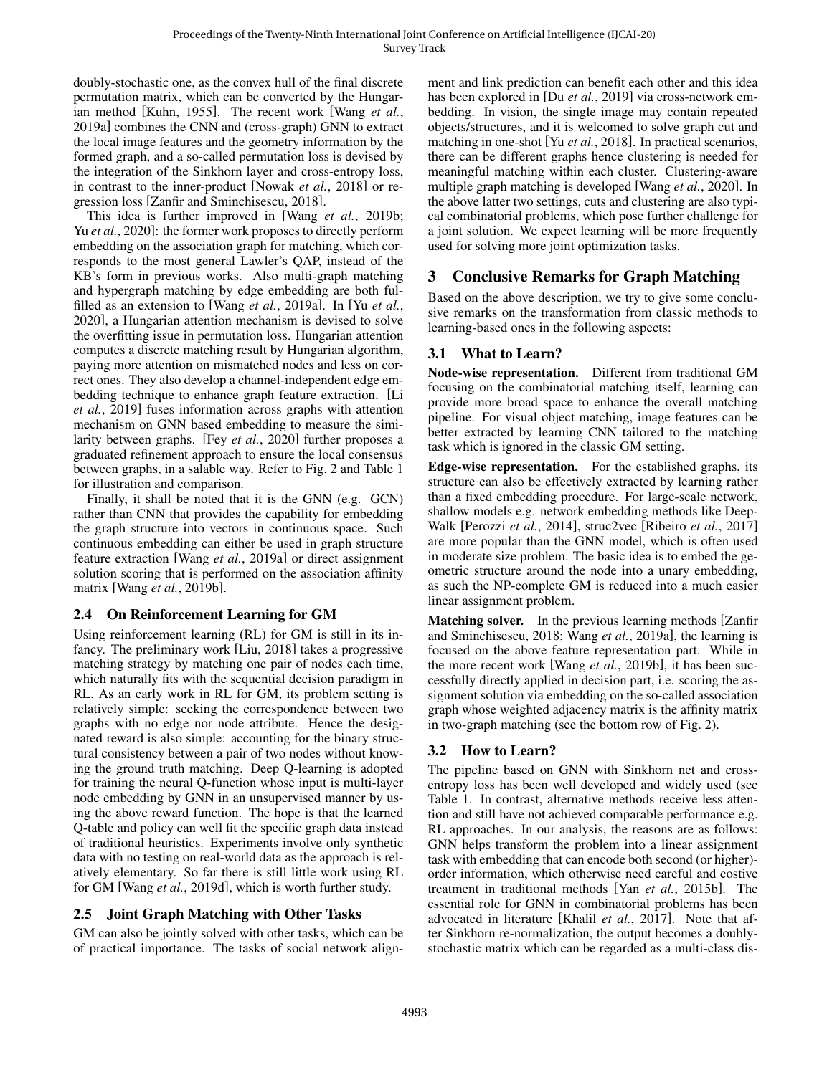doubly-stochastic one, as the convex hull of the final discrete permutation matrix, which can be converted by the Hungarian method [Kuhn, 1955]. The recent work [Wang *et al.*, 2019a] combines the CNN and (cross-graph) GNN to extract the local image features and the geometry information by the formed graph, and a so-called permutation loss is devised by the integration of the Sinkhorn layer and cross-entropy loss, in contrast to the inner-product [Nowak *et al.*, 2018] or regression loss [Zanfir and Sminchisescu, 2018].

This idea is further improved in [Wang *et al.*, 2019b; Yu *et al.*, 2020]: the former work proposes to directly perform embedding on the association graph for matching, which corresponds to the most general Lawler's QAP, instead of the KB's form in previous works. Also multi-graph matching and hypergraph matching by edge embedding are both fulfilled as an extension to [Wang *et al.*, 2019a]. In [Yu *et al.*, 2020], a Hungarian attention mechanism is devised to solve the overfitting issue in permutation loss. Hungarian attention computes a discrete matching result by Hungarian algorithm, paying more attention on mismatched nodes and less on correct ones. They also develop a channel-independent edge embedding technique to enhance graph feature extraction. [Li *et al.*, 2019] fuses information across graphs with attention mechanism on GNN based embedding to measure the similarity between graphs. [Fey *et al.*, 2020] further proposes a graduated refinement approach to ensure the local consensus between graphs, in a salable way. Refer to Fig. 2 and Table 1 for illustration and comparison.

Finally, it shall be noted that it is the GNN (e.g. GCN) rather than CNN that provides the capability for embedding the graph structure into vectors in continuous space. Such continuous embedding can either be used in graph structure feature extraction [Wang *et al.*, 2019a] or direct assignment solution scoring that is performed on the association affinity matrix [Wang *et al.*, 2019b].

# 2.4 On Reinforcement Learning for GM

Using reinforcement learning (RL) for GM is still in its infancy. The preliminary work [Liu, 2018] takes a progressive matching strategy by matching one pair of nodes each time, which naturally fits with the sequential decision paradigm in RL. As an early work in RL for GM, its problem setting is relatively simple: seeking the correspondence between two graphs with no edge nor node attribute. Hence the designated reward is also simple: accounting for the binary structural consistency between a pair of two nodes without knowing the ground truth matching. Deep Q-learning is adopted for training the neural Q-function whose input is multi-layer node embedding by GNN in an unsupervised manner by using the above reward function. The hope is that the learned Q-table and policy can well fit the specific graph data instead of traditional heuristics. Experiments involve only synthetic data with no testing on real-world data as the approach is relatively elementary. So far there is still little work using RL for GM [Wang *et al.*, 2019d], which is worth further study.

# 2.5 Joint Graph Matching with Other Tasks

GM can also be jointly solved with other tasks, which can be of practical importance. The tasks of social network alignment and link prediction can benefit each other and this idea has been explored in [Du *et al.*, 2019] via cross-network embedding. In vision, the single image may contain repeated objects/structures, and it is welcomed to solve graph cut and matching in one-shot [Yu *et al.*, 2018]. In practical scenarios, there can be different graphs hence clustering is needed for meaningful matching within each cluster. Clustering-aware multiple graph matching is developed [Wang *et al.*, 2020]. In the above latter two settings, cuts and clustering are also typical combinatorial problems, which pose further challenge for a joint solution. We expect learning will be more frequently used for solving more joint optimization tasks.

# 3 Conclusive Remarks for Graph Matching

Based on the above description, we try to give some conclusive remarks on the transformation from classic methods to learning-based ones in the following aspects:

# 3.1 What to Learn?

Node-wise representation. Different from traditional GM focusing on the combinatorial matching itself, learning can provide more broad space to enhance the overall matching pipeline. For visual object matching, image features can be better extracted by learning CNN tailored to the matching task which is ignored in the classic GM setting.

Edge-wise representation. For the established graphs, its structure can also be effectively extracted by learning rather than a fixed embedding procedure. For large-scale network, shallow models e.g. network embedding methods like Deep-Walk [Perozzi *et al.*, 2014], struc2vec [Ribeiro *et al.*, 2017] are more popular than the GNN model, which is often used in moderate size problem. The basic idea is to embed the geometric structure around the node into a unary embedding, as such the NP-complete GM is reduced into a much easier linear assignment problem.

Matching solver. In the previous learning methods [Zanfir and Sminchisescu, 2018; Wang *et al.*, 2019a], the learning is focused on the above feature representation part. While in the more recent work [Wang *et al.*, 2019b], it has been successfully directly applied in decision part, i.e. scoring the assignment solution via embedding on the so-called association graph whose weighted adjacency matrix is the affinity matrix in two-graph matching (see the bottom row of Fig. 2).

# 3.2 How to Learn?

The pipeline based on GNN with Sinkhorn net and crossentropy loss has been well developed and widely used (see Table 1. In contrast, alternative methods receive less attention and still have not achieved comparable performance e.g. RL approaches. In our analysis, the reasons are as follows: GNN helps transform the problem into a linear assignment task with embedding that can encode both second (or higher) order information, which otherwise need careful and costive treatment in traditional methods [Yan *et al.*, 2015b]. The essential role for GNN in combinatorial problems has been advocated in literature [Khalil *et al.*, 2017]. Note that after Sinkhorn re-normalization, the output becomes a doublystochastic matrix which can be regarded as a multi-class dis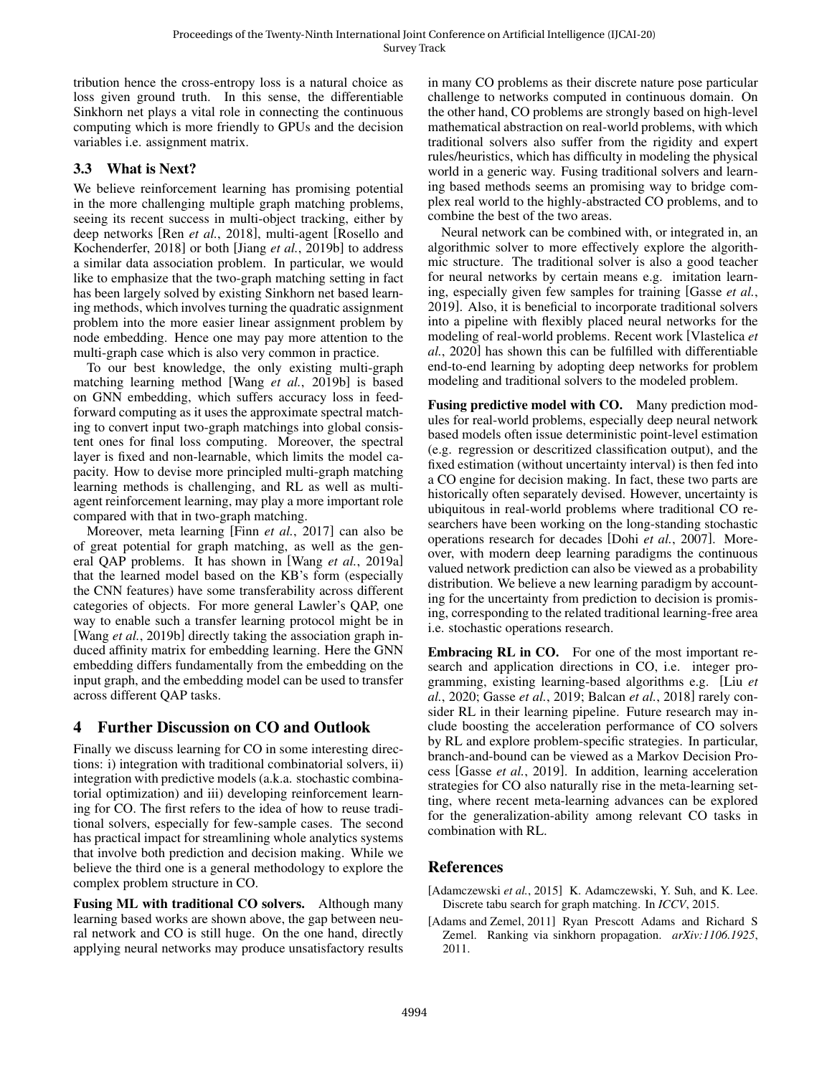tribution hence the cross-entropy loss is a natural choice as loss given ground truth. In this sense, the differentiable Sinkhorn net plays a vital role in connecting the continuous computing which is more friendly to GPUs and the decision variables i.e. assignment matrix.

## 3.3 What is Next?

We believe reinforcement learning has promising potential in the more challenging multiple graph matching problems, seeing its recent success in multi-object tracking, either by deep networks [Ren *et al.*, 2018], multi-agent [Rosello and Kochenderfer, 2018] or both [Jiang *et al.*, 2019b] to address a similar data association problem. In particular, we would like to emphasize that the two-graph matching setting in fact has been largely solved by existing Sinkhorn net based learning methods, which involves turning the quadratic assignment problem into the more easier linear assignment problem by node embedding. Hence one may pay more attention to the multi-graph case which is also very common in practice.

To our best knowledge, the only existing multi-graph matching learning method [Wang *et al.*, 2019b] is based on GNN embedding, which suffers accuracy loss in feedforward computing as it uses the approximate spectral matching to convert input two-graph matchings into global consistent ones for final loss computing. Moreover, the spectral layer is fixed and non-learnable, which limits the model capacity. How to devise more principled multi-graph matching learning methods is challenging, and RL as well as multiagent reinforcement learning, may play a more important role compared with that in two-graph matching.

Moreover, meta learning [Finn *et al.*, 2017] can also be of great potential for graph matching, as well as the general QAP problems. It has shown in [Wang *et al.*, 2019a] that the learned model based on the KB's form (especially the CNN features) have some transferability across different categories of objects. For more general Lawler's QAP, one way to enable such a transfer learning protocol might be in [Wang *et al.*, 2019b] directly taking the association graph induced affinity matrix for embedding learning. Here the GNN embedding differs fundamentally from the embedding on the input graph, and the embedding model can be used to transfer across different QAP tasks.

# 4 Further Discussion on CO and Outlook

Finally we discuss learning for CO in some interesting directions: i) integration with traditional combinatorial solvers, ii) integration with predictive models (a.k.a. stochastic combinatorial optimization) and iii) developing reinforcement learning for CO. The first refers to the idea of how to reuse traditional solvers, especially for few-sample cases. The second has practical impact for streamlining whole analytics systems that involve both prediction and decision making. While we believe the third one is a general methodology to explore the complex problem structure in CO.

Fusing ML with traditional CO solvers. Although many learning based works are shown above, the gap between neural network and CO is still huge. On the one hand, directly applying neural networks may produce unsatisfactory results in many CO problems as their discrete nature pose particular challenge to networks computed in continuous domain. On the other hand, CO problems are strongly based on high-level mathematical abstraction on real-world problems, with which traditional solvers also suffer from the rigidity and expert rules/heuristics, which has difficulty in modeling the physical world in a generic way. Fusing traditional solvers and learning based methods seems an promising way to bridge complex real world to the highly-abstracted CO problems, and to combine the best of the two areas.

Neural network can be combined with, or integrated in, an algorithmic solver to more effectively explore the algorithmic structure. The traditional solver is also a good teacher for neural networks by certain means e.g. imitation learning, especially given few samples for training [Gasse *et al.*, 2019]. Also, it is beneficial to incorporate traditional solvers into a pipeline with flexibly placed neural networks for the modeling of real-world problems. Recent work [Vlastelica *et al.*, 2020] has shown this can be fulfilled with differentiable end-to-end learning by adopting deep networks for problem modeling and traditional solvers to the modeled problem.

Fusing predictive model with CO. Many prediction modules for real-world problems, especially deep neural network based models often issue deterministic point-level estimation (e.g. regression or descritized classification output), and the fixed estimation (without uncertainty interval) is then fed into a CO engine for decision making. In fact, these two parts are historically often separately devised. However, uncertainty is ubiquitous in real-world problems where traditional CO researchers have been working on the long-standing stochastic operations research for decades [Dohi *et al.*, 2007]. Moreover, with modern deep learning paradigms the continuous valued network prediction can also be viewed as a probability distribution. We believe a new learning paradigm by accounting for the uncertainty from prediction to decision is promising, corresponding to the related traditional learning-free area i.e. stochastic operations research.

Embracing RL in CO. For one of the most important research and application directions in CO, i.e. integer programming, existing learning-based algorithms e.g. [Liu *et al.*, 2020; Gasse *et al.*, 2019; Balcan *et al.*, 2018] rarely consider RL in their learning pipeline. Future research may include boosting the acceleration performance of CO solvers by RL and explore problem-specific strategies. In particular, branch-and-bound can be viewed as a Markov Decision Process [Gasse *et al.*, 2019]. In addition, learning acceleration strategies for CO also naturally rise in the meta-learning setting, where recent meta-learning advances can be explored for the generalization-ability among relevant CO tasks in combination with RL.

# References

- [Adamczewski *et al.*, 2015] K. Adamczewski, Y. Suh, and K. Lee. Discrete tabu search for graph matching. In *ICCV*, 2015.
- [Adams and Zemel, 2011] Ryan Prescott Adams and Richard S Zemel. Ranking via sinkhorn propagation. *arXiv:1106.1925*, 2011.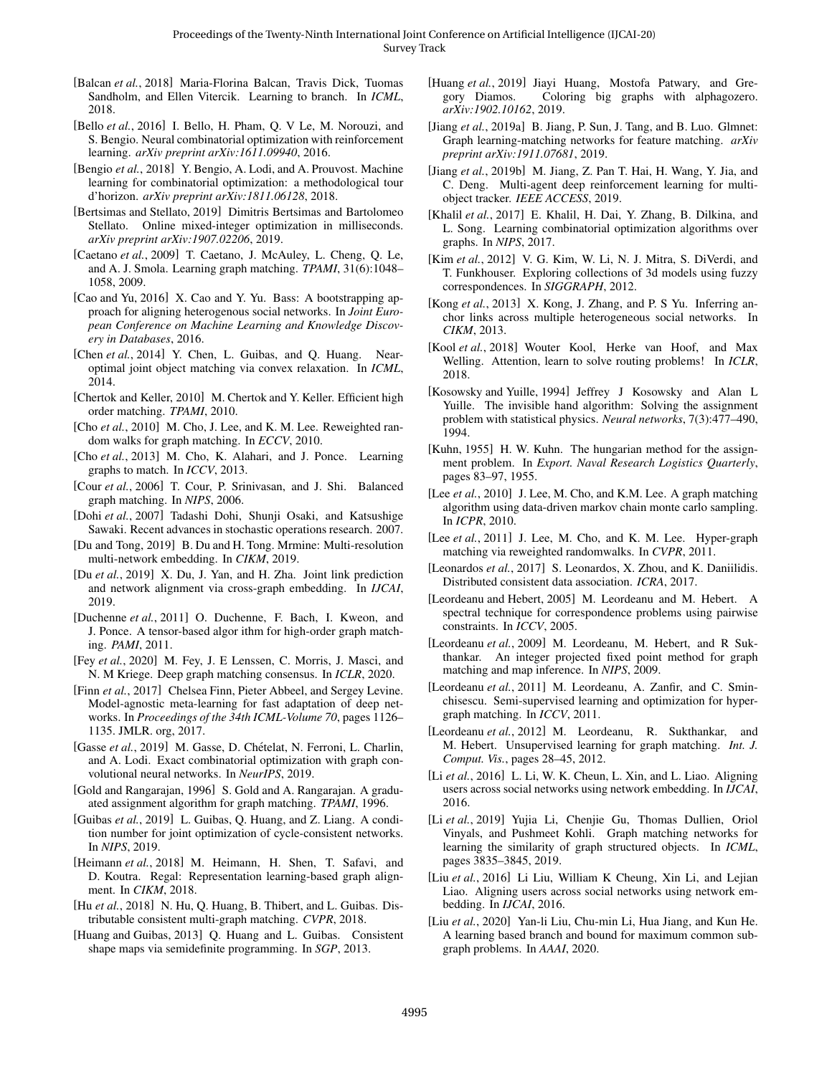- [Balcan *et al.*, 2018] Maria-Florina Balcan, Travis Dick, Tuomas Sandholm, and Ellen Vitercik. Learning to branch. In *ICML*, 2018.
- [Bello *et al.*, 2016] I. Bello, H. Pham, Q. V Le, M. Norouzi, and S. Bengio. Neural combinatorial optimization with reinforcement learning. *arXiv preprint arXiv:1611.09940*, 2016.
- [Bengio *et al.*, 2018] Y. Bengio, A. Lodi, and A. Prouvost. Machine learning for combinatorial optimization: a methodological tour d'horizon. *arXiv preprint arXiv:1811.06128*, 2018.
- [Bertsimas and Stellato, 2019] Dimitris Bertsimas and Bartolomeo Stellato. Online mixed-integer optimization in milliseconds. *arXiv preprint arXiv:1907.02206*, 2019.
- [Caetano et al., 2009] T. Caetano, J. McAuley, L. Cheng, Q. Le, and A. J. Smola. Learning graph matching. *TPAMI*, 31(6):1048– 1058, 2009.
- [Cao and Yu, 2016] X. Cao and Y. Yu. Bass: A bootstrapping approach for aligning heterogenous social networks. In *Joint European Conference on Machine Learning and Knowledge Discovery in Databases*, 2016.
- [Chen *et al.*, 2014] Y. Chen, L. Guibas, and O. Huang. Nearoptimal joint object matching via convex relaxation. In *ICML*, 2014.
- [Chertok and Keller, 2010] M. Chertok and Y. Keller. Efficient high order matching. *TPAMI*, 2010.
- [Cho et al., 2010] M. Cho, J. Lee, and K. M. Lee. Reweighted random walks for graph matching. In *ECCV*, 2010.
- [Cho *et al.*, 2013] M. Cho, K. Alahari, and J. Ponce. Learning graphs to match. In *ICCV*, 2013.
- [Cour *et al.*, 2006] T. Cour, P. Srinivasan, and J. Shi. Balanced graph matching. In *NIPS*, 2006.
- [Dohi *et al.*, 2007] Tadashi Dohi, Shunji Osaki, and Katsushige Sawaki. Recent advances in stochastic operations research. 2007.
- [Du and Tong, 2019] B. Du and H. Tong. Mrmine: Multi-resolution multi-network embedding. In *CIKM*, 2019.
- [Du *et al.*, 2019] X. Du, J. Yan, and H. Zha. Joint link prediction and network alignment via cross-graph embedding. In *IJCAI*, 2019.
- [Duchenne *et al.*, 2011] O. Duchenne, F. Bach, I. Kweon, and J. Ponce. A tensor-based algor ithm for high-order graph matching. *PAMI*, 2011.
- [Fey *et al.*, 2020] M. Fey, J. E Lenssen, C. Morris, J. Masci, and N. M Kriege. Deep graph matching consensus. In *ICLR*, 2020.
- [Finn *et al.*, 2017] Chelsea Finn, Pieter Abbeel, and Sergey Levine. Model-agnostic meta-learning for fast adaptation of deep networks. In *Proceedings of the 34th ICML-Volume 70*, pages 1126– 1135. JMLR. org, 2017.
- [Gasse et al., 2019] M. Gasse, D. Chételat, N. Ferroni, L. Charlin, and A. Lodi. Exact combinatorial optimization with graph convolutional neural networks. In *NeurIPS*, 2019.
- [Gold and Rangarajan, 1996] S. Gold and A. Rangarajan. A graduated assignment algorithm for graph matching. *TPAMI*, 1996.
- [Guibas *et al.*, 2019] L. Guibas, Q. Huang, and Z. Liang. A condition number for joint optimization of cycle-consistent networks. In *NIPS*, 2019.
- [Heimann et al., 2018] M. Heimann, H. Shen, T. Safavi, and D. Koutra. Regal: Representation learning-based graph alignment. In *CIKM*, 2018.
- [Hu *et al.*, 2018] N. Hu, Q. Huang, B. Thibert, and L. Guibas. Distributable consistent multi-graph matching. *CVPR*, 2018.
- [Huang and Guibas, 2013] Q. Huang and L. Guibas. Consistent shape maps via semidefinite programming. In *SGP*, 2013.
- [Huang *et al.*, 2019] Jiayi Huang, Mostofa Patwary, and Gregory Diamos. Coloring big graphs with alphagozero. *arXiv:1902.10162*, 2019.
- [Jiang et al., 2019a] B. Jiang, P. Sun, J. Tang, and B. Luo. Glmnet: Graph learning-matching networks for feature matching. *arXiv preprint arXiv:1911.07681*, 2019.
- [Jiang *et al.*, 2019b] M. Jiang, Z. Pan T. Hai, H. Wang, Y. Jia, and C. Deng. Multi-agent deep reinforcement learning for multiobject tracker. *IEEE ACCESS*, 2019.
- [Khalil et al., 2017] E. Khalil, H. Dai, Y. Zhang, B. Dilkina, and L. Song. Learning combinatorial optimization algorithms over graphs. In *NIPS*, 2017.
- [Kim et al., 2012] V. G. Kim, W. Li, N. J. Mitra, S. DiVerdi, and T. Funkhouser. Exploring collections of 3d models using fuzzy correspondences. In *SIGGRAPH*, 2012.
- [Kong *et al.*, 2013] X. Kong, J. Zhang, and P. S Yu. Inferring anchor links across multiple heterogeneous social networks. In *CIKM*, 2013.
- [Kool *et al.*, 2018] Wouter Kool, Herke van Hoof, and Max Welling. Attention, learn to solve routing problems! In *ICLR*, 2018.
- [Kosowsky and Yuille, 1994] Jeffrey J Kosowsky and Alan L Yuille. The invisible hand algorithm: Solving the assignment problem with statistical physics. *Neural networks*, 7(3):477–490, 1994.
- [Kuhn, 1955] H. W. Kuhn. The hungarian method for the assignment problem. In *Export. Naval Research Logistics Quarterly*, pages 83–97, 1955.
- [Lee *et al.*, 2010] J. Lee, M. Cho, and K.M. Lee. A graph matching algorithm using data-driven markov chain monte carlo sampling. In *ICPR*, 2010.
- [Lee *et al.*, 2011] J. Lee, M. Cho, and K. M. Lee. Hyper-graph matching via reweighted randomwalks. In *CVPR*, 2011.
- [Leonardos et al., 2017] S. Leonardos, X. Zhou, and K. Daniilidis. Distributed consistent data association. *ICRA*, 2017.
- [Leordeanu and Hebert, 2005] M. Leordeanu and M. Hebert. A spectral technique for correspondence problems using pairwise constraints. In *ICCV*, 2005.
- [Leordeanu et al., 2009] M. Leordeanu, M. Hebert, and R Sukthankar. An integer projected fixed point method for graph matching and map inference. In *NIPS*, 2009.
- [Leordeanu et al., 2011] M. Leordeanu, A. Zanfir, and C. Sminchisescu. Semi-supervised learning and optimization for hypergraph matching. In *ICCV*, 2011.
- [Leordeanu *et al.*, 2012] M. Leordeanu, R. Sukthankar, and M. Hebert. Unsupervised learning for graph matching. *Int. J. Comput. Vis.*, pages 28–45, 2012.
- [Li et al., 2016] L. Li, W. K. Cheun, L. Xin, and L. Liao. Aligning users across social networks using network embedding. In *IJCAI*, 2016.
- [Li *et al.*, 2019] Yujia Li, Chenjie Gu, Thomas Dullien, Oriol Vinyals, and Pushmeet Kohli. Graph matching networks for learning the similarity of graph structured objects. In *ICML*, pages 3835–3845, 2019.
- [Liu *et al.*, 2016] Li Liu, William K Cheung, Xin Li, and Lejian Liao. Aligning users across social networks using network embedding. In *IJCAI*, 2016.
- [Liu *et al.*, 2020] Yan-li Liu, Chu-min Li, Hua Jiang, and Kun He. A learning based branch and bound for maximum common subgraph problems. In *AAAI*, 2020.